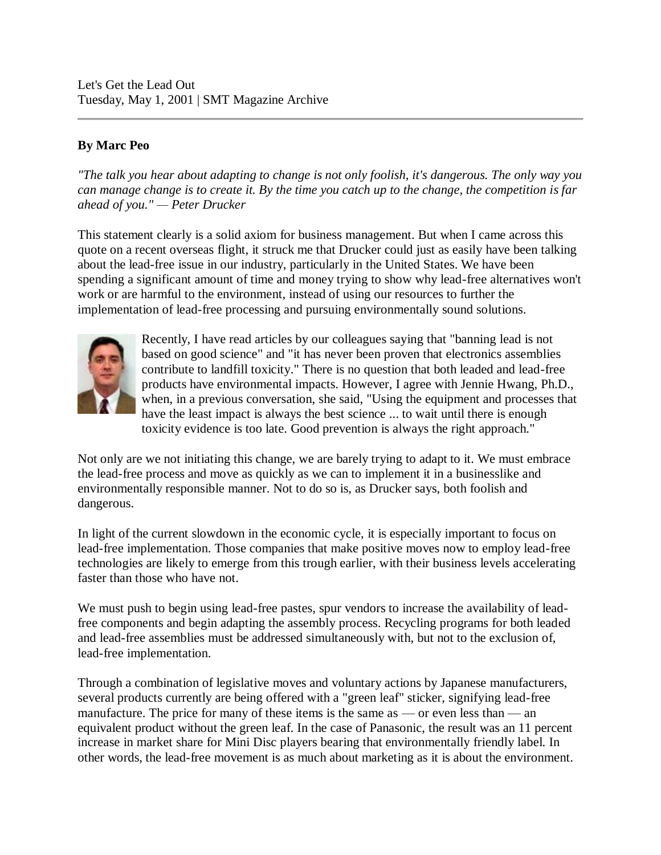Let's Get the Lead Out Tuesday, May 1, 2001 | SMT Magazine Archive

## **By Marc Peo**

*"The talk you hear about adapting to change is not only foolish, it's dangerous. The only way you can manage change is to create it. By the time you catch up to the change, the competition is far ahead of you." — Peter Drucker*

This statement clearly is a solid axiom for business management. But when I came across this quote on a recent overseas flight, it struck me that Drucker could just as easily have been talking about the lead-free issue in our industry, particularly in the United States. We have been spending a significant amount of time and money trying to show why lead-free alternatives won't work or are harmful to the environment, instead of using our resources to further the implementation of lead-free processing and pursuing environmentally sound solutions.



Recently, I have read articles by our colleagues saying that "banning lead is not based on good science" and "it has never been proven that electronics assemblies contribute to landfill toxicity." There is no question that both leaded and lead-free products have environmental impacts. However, I agree with Jennie Hwang, Ph.D., when, in a previous conversation, she said, "Using the equipment and processes that have the least impact is always the best science ... to wait until there is enough toxicity evidence is too late. Good prevention is always the right approach."

Not only are we not initiating this change, we are barely trying to adapt to it. We must embrace the lead-free process and move as quickly as we can to implement it in a businesslike and environmentally responsible manner. Not to do so is, as Drucker says, both foolish and dangerous.

In light of the current slowdown in the economic cycle, it is especially important to focus on lead-free implementation. Those companies that make positive moves now to employ lead-free technologies are likely to emerge from this trough earlier, with their business levels accelerating faster than those who have not.

We must push to begin using lead-free pastes, spur vendors to increase the availability of leadfree components and begin adapting the assembly process. Recycling programs for both leaded and lead-free assemblies must be addressed simultaneously with, but not to the exclusion of, lead-free implementation.

Through a combination of legislative moves and voluntary actions by Japanese manufacturers, several products currently are being offered with a "green leaf" sticker, signifying lead-free manufacture. The price for many of these items is the same as — or even less than — an equivalent product without the green leaf. In the case of Panasonic, the result was an 11 percent increase in market share for Mini Disc players bearing that environmentally friendly label. In other words, the lead-free movement is as much about marketing as it is about the environment.